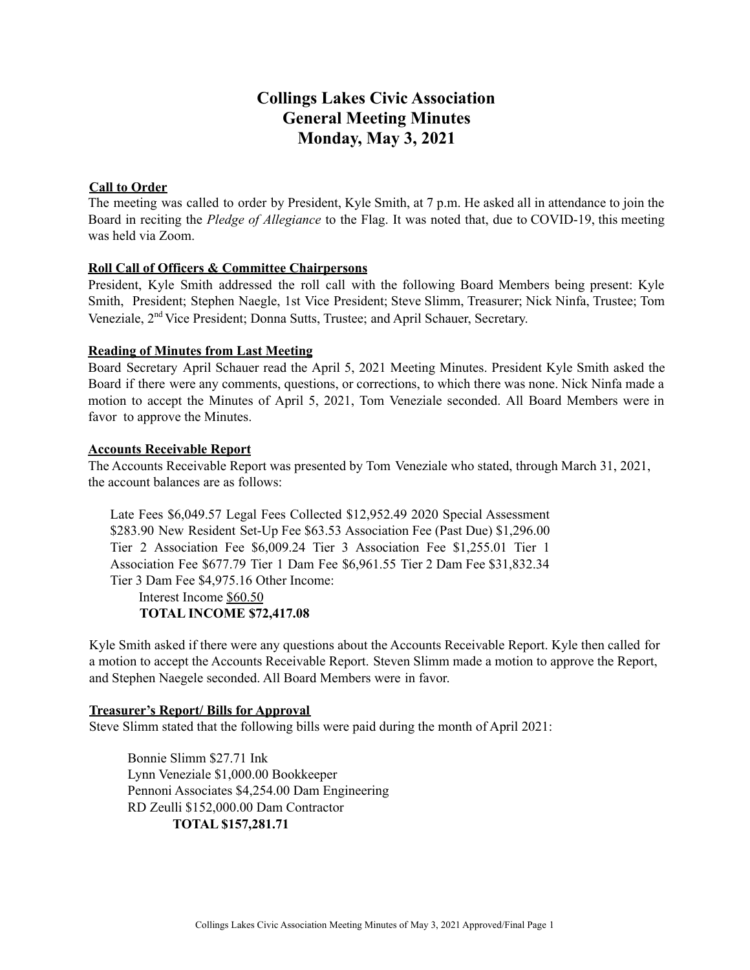# **Collings Lakes Civic Association General Meeting Minutes Monday, May 3, 2021**

## **Call to Order**

The meeting was called to order by President, Kyle Smith, at 7 p.m. He asked all in attendance to join the Board in reciting the *Pledge of Allegiance* to the Flag. It was noted that, due to COVID-19, this meeting was held via Zoom.

## **Roll Call of Officers & Committee Chairpersons**

President, Kyle Smith addressed the roll call with the following Board Members being present: Kyle Smith, President; Stephen Naegle, 1st Vice President; Steve Slimm, Treasurer; Nick Ninfa, Trustee; Tom Veneziale, 2<sup>nd</sup> Vice President; Donna Sutts, Trustee; and April Schauer, Secretary.

## **Reading of Minutes from Last Meeting**

Board Secretary April Schauer read the April 5, 2021 Meeting Minutes. President Kyle Smith asked the Board if there were any comments, questions, or corrections, to which there was none. Nick Ninfa made a motion to accept the Minutes of April 5, 2021, Tom Veneziale seconded. All Board Members were in favor to approve the Minutes.

## **Accounts Receivable Report**

The Accounts Receivable Report was presented by Tom Veneziale who stated, through March 31, 2021, the account balances are as follows:

Late Fees \$6,049.57 Legal Fees Collected \$12,952.49 2020 Special Assessment \$283.90 New Resident Set-Up Fee \$63.53 Association Fee (Past Due) \$1,296.00 Tier 2 Association Fee \$6,009.24 Tier 3 Association Fee \$1,255.01 Tier 1 Association Fee \$677.79 Tier 1 Dam Fee \$6,961.55 Tier 2 Dam Fee \$31,832.34 Tier 3 Dam Fee \$4,975.16 Other Income:

## Interest Income \$60.50 **TOTAL INCOME \$72,417.08**

Kyle Smith asked if there were any questions about the Accounts Receivable Report. Kyle then called for a motion to accept the Accounts Receivable Report. Steven Slimm made a motion to approve the Report, and Stephen Naegele seconded. All Board Members were in favor.

# **Treasurer's Report/ Bills for Approval**

Steve Slimm stated that the following bills were paid during the month of April 2021:

Bonnie Slimm \$27.71 Ink Lynn Veneziale \$1,000.00 Bookkeeper Pennoni Associates \$4,254.00 Dam Engineering RD Zeulli \$152,000.00 Dam Contractor **TOTAL \$157,281.71**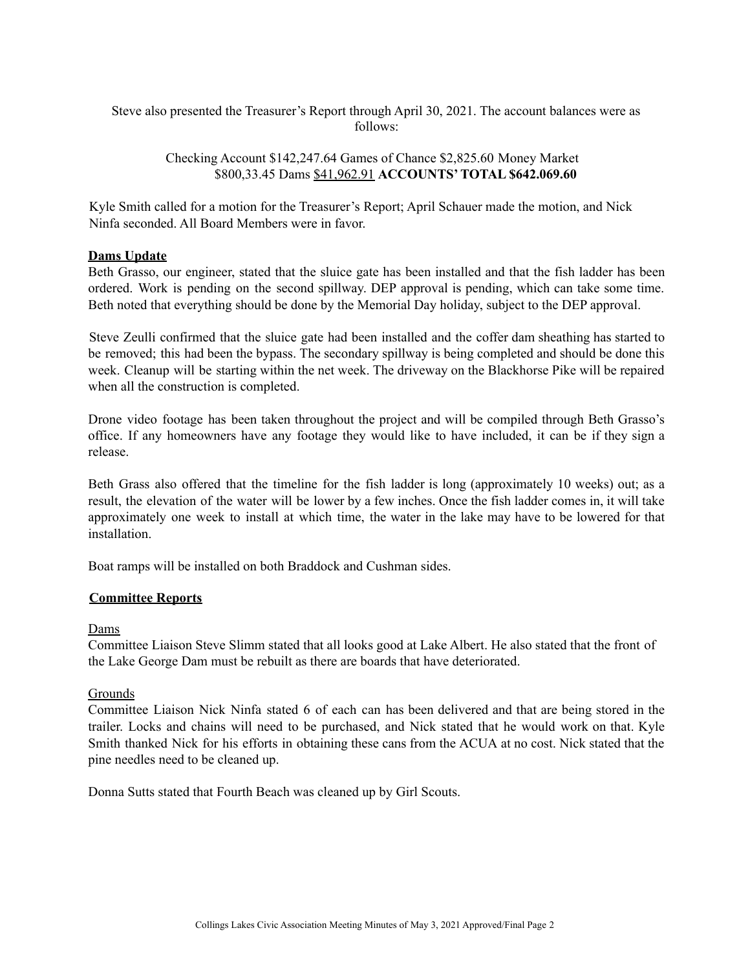Steve also presented the Treasurer's Report through April 30, 2021. The account balances were as follows:

## Checking Account \$142,247.64 Games of Chance \$2,825.60 Money Market \$800,33.45 Dams \$41,962.91 **ACCOUNTS'TOTAL \$642.069.60**

Kyle Smith called for a motion for the Treasurer's Report; April Schauer made the motion, and Nick Ninfa seconded. All Board Members were in favor.

## **Dams Update**

Beth Grasso, our engineer, stated that the sluice gate has been installed and that the fish ladder has been ordered. Work is pending on the second spillway. DEP approval is pending, which can take some time. Beth noted that everything should be done by the Memorial Day holiday, subject to the DEP approval.

Steve Zeulli confirmed that the sluice gate had been installed and the coffer dam sheathing has started to be removed; this had been the bypass. The secondary spillway is being completed and should be done this week. Cleanup will be starting within the net week. The driveway on the Blackhorse Pike will be repaired when all the construction is completed.

Drone video footage has been taken throughout the project and will be compiled through Beth Grasso's office. If any homeowners have any footage they would like to have included, it can be if they sign a release.

Beth Grass also offered that the timeline for the fish ladder is long (approximately 10 weeks) out; as a result, the elevation of the water will be lower by a few inches. Once the fish ladder comes in, it will take approximately one week to install at which time, the water in the lake may have to be lowered for that installation.

Boat ramps will be installed on both Braddock and Cushman sides.

## **Committee Reports**

#### Dams

Committee Liaison Steve Slimm stated that all looks good at Lake Albert. He also stated that the front of the Lake George Dam must be rebuilt as there are boards that have deteriorated.

#### **Grounds**

Committee Liaison Nick Ninfa stated 6 of each can has been delivered and that are being stored in the trailer. Locks and chains will need to be purchased, and Nick stated that he would work on that. Kyle Smith thanked Nick for his efforts in obtaining these cans from the ACUA at no cost. Nick stated that the pine needles need to be cleaned up.

Donna Sutts stated that Fourth Beach was cleaned up by Girl Scouts.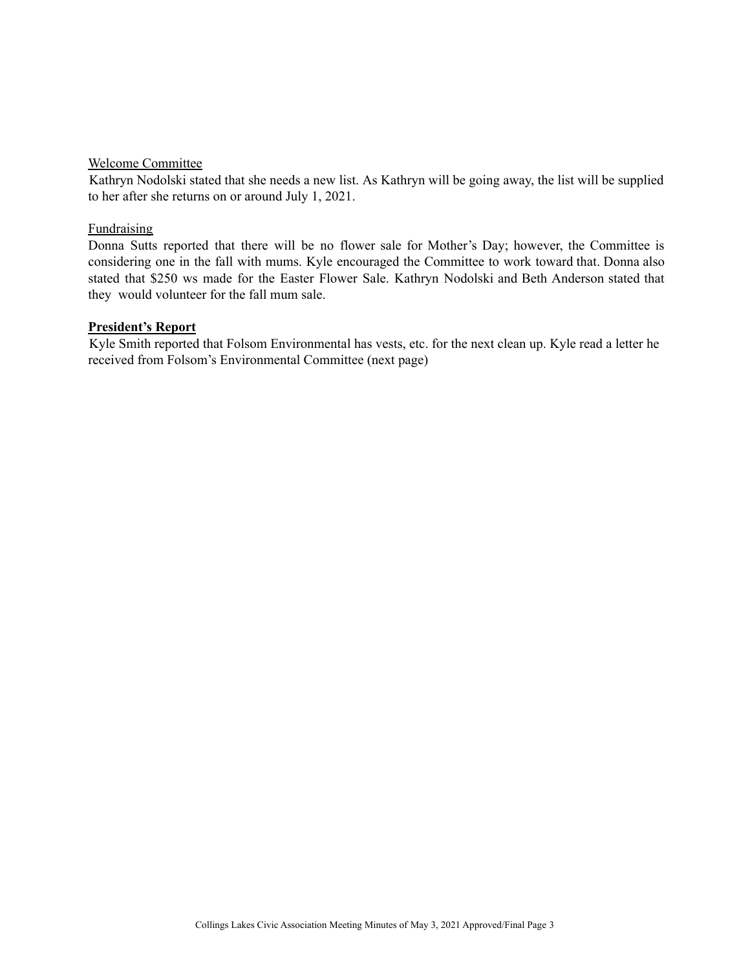#### Welcome Committee

Kathryn Nodolski stated that she needs a new list. As Kathryn will be going away, the list will be supplied to her after she returns on or around July 1, 2021.

#### **Fundraising**

Donna Sutts reported that there will be no flower sale for Mother's Day; however, the Committee is considering one in the fall with mums. Kyle encouraged the Committee to work toward that. Donna also stated that \$250 ws made for the Easter Flower Sale. Kathryn Nodolski and Beth Anderson stated that they would volunteer for the fall mum sale.

#### **President's Report**

Kyle Smith reported that Folsom Environmental has vests, etc. for the next clean up. Kyle read a letter he received from Folsom's Environmental Committee (next page)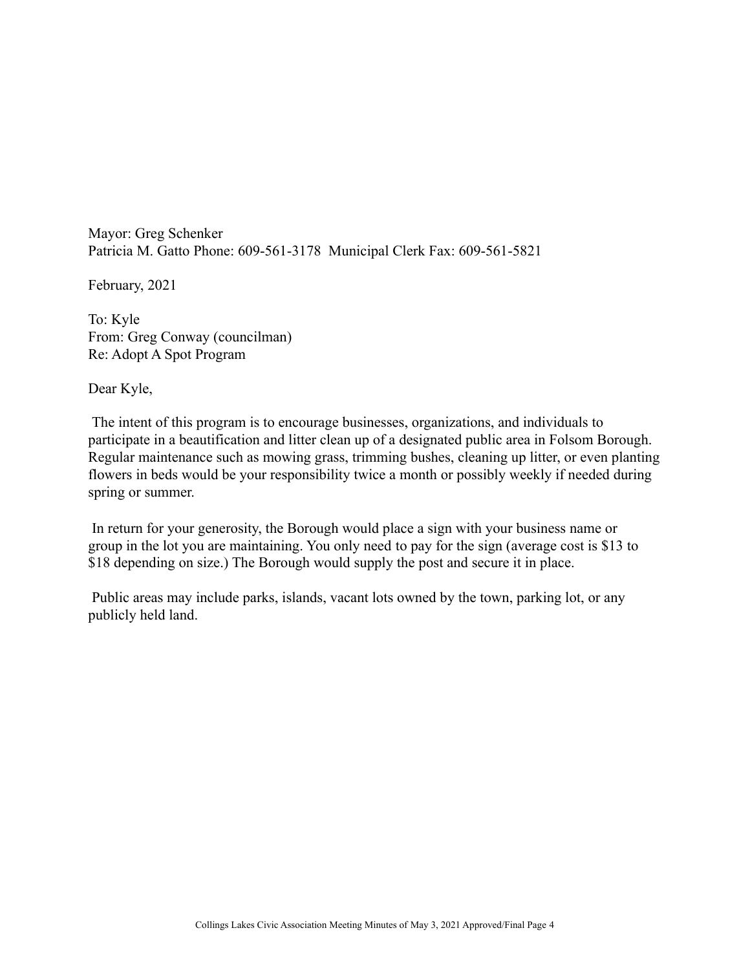Mayor: Greg Schenker Patricia M. Gatto Phone: 609-561-3178 Municipal Clerk Fax: 609-561-5821

February, 2021

To: Kyle From: Greg Conway (councilman) Re: Adopt A Spot Program

Dear Kyle,

The intent of this program is to encourage businesses, organizations, and individuals to participate in a beautification and litter clean up of a designated public area in Folsom Borough. Regular maintenance such as mowing grass, trimming bushes, cleaning up litter, or even planting flowers in beds would be your responsibility twice a month or possibly weekly if needed during spring or summer.

In return for your generosity, the Borough would place a sign with your business name or group in the lot you are maintaining. You only need to pay for the sign (average cost is \$13 to \$18 depending on size.) The Borough would supply the post and secure it in place.

Public areas may include parks, islands, vacant lots owned by the town, parking lot, or any publicly held land.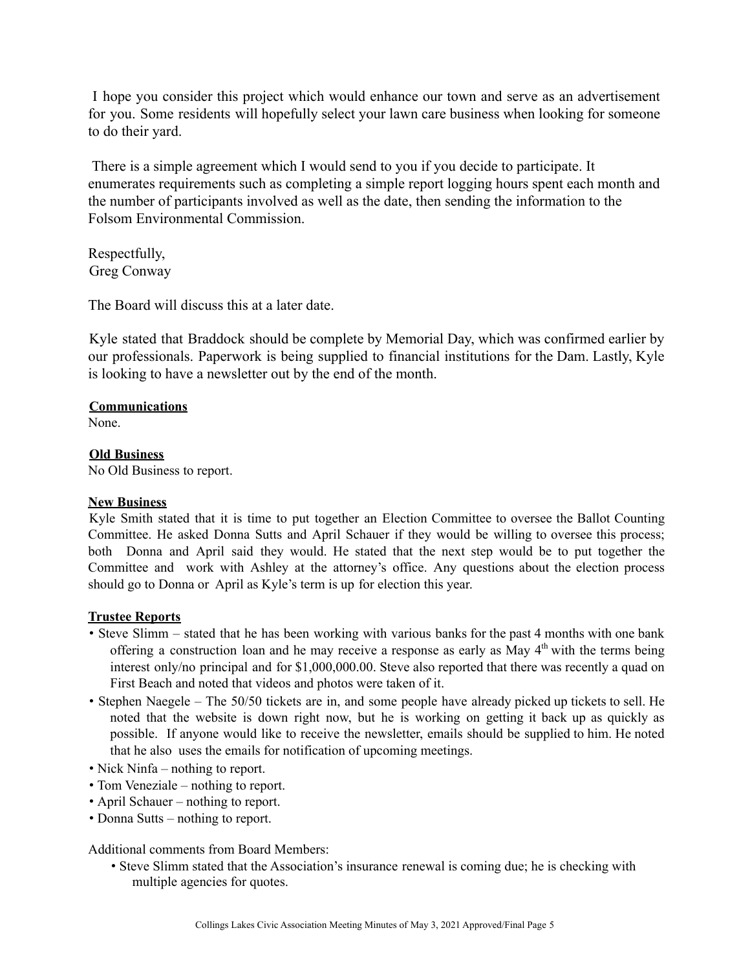I hope you consider this project which would enhance our town and serve as an advertisement for you. Some residents will hopefully select your lawn care business when looking for someone to do their yard.

There is a simple agreement which I would send to you if you decide to participate. It enumerates requirements such as completing a simple report logging hours spent each month and the number of participants involved as well as the date, then sending the information to the Folsom Environmental Commission.

Respectfully, Greg Conway

The Board will discuss this at a later date.

Kyle stated that Braddock should be complete by Memorial Day, which was confirmed earlier by our professionals. Paperwork is being supplied to financial institutions for the Dam. Lastly, Kyle is looking to have a newsletter out by the end of the month.

## **Communications**

None.

# **Old Business**

No Old Business to report.

# **New Business**

Kyle Smith stated that it is time to put together an Election Committee to oversee the Ballot Counting Committee. He asked Donna Sutts and April Schauer if they would be willing to oversee this process; both Donna and April said they would. He stated that the next step would be to put together the Committee and work with Ashley at the attorney's office. Any questions about the election process should go to Donna or April as Kyle's term is up for election this year.

# **Trustee Reports**

- Steve Slimm stated that he has been working with various banks for the past 4 months with one bank offering a construction loan and he may receive a response as early as May 4<sup>th</sup> with the terms being interest only/no principal and for \$1,000,000.00. Steve also reported that there was recently a quad on First Beach and noted that videos and photos were taken of it.
- Stephen Naegele The 50/50 tickets are in, and some people have already picked up tickets to sell. He noted that the website is down right now, but he is working on getting it back up as quickly as possible. If anyone would like to receive the newsletter, emails should be supplied to him. He noted that he also uses the emails for notification of upcoming meetings.
- Nick Ninfa nothing to report.
- Tom Veneziale nothing to report.
- April Schauer nothing to report.
- Donna Sutts nothing to report.

Additional comments from Board Members:

• Steve Slimm stated that the Association's insurance renewal is coming due; he is checking with multiple agencies for quotes.